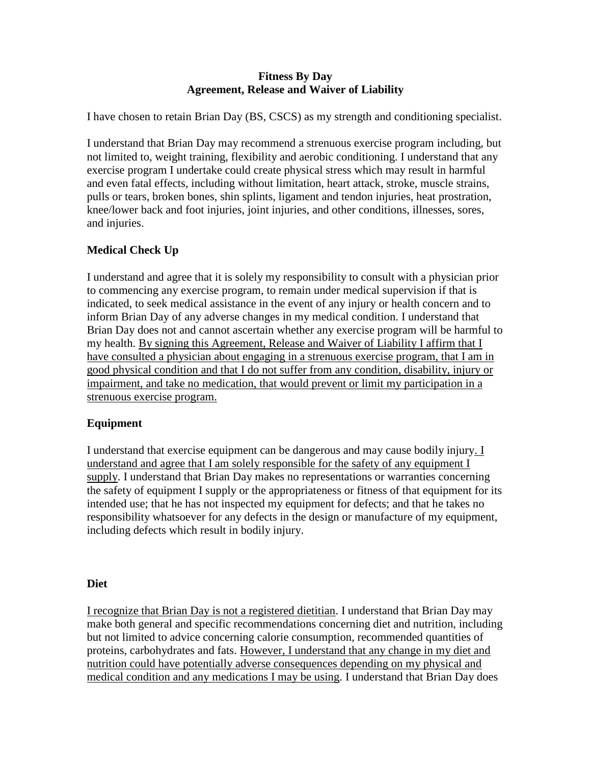#### **Fitness By Day Agreement, Release and Waiver of Liability**

I have chosen to retain Brian Day (BS, CSCS) as my strength and conditioning specialist.

I understand that Brian Day may recommend a strenuous exercise program including, but not limited to, weight training, flexibility and aerobic conditioning. I understand that any exercise program I undertake could create physical stress which may result in harmful and even fatal effects, including without limitation, heart attack, stroke, muscle strains, pulls or tears, broken bones, shin splints, ligament and tendon injuries, heat prostration, knee/lower back and foot injuries, joint injuries, and other conditions, illnesses, sores, and injuries.

# **Medical Check Up**

I understand and agree that it is solely my responsibility to consult with a physician prior to commencing any exercise program, to remain under medical supervision if that is indicated, to seek medical assistance in the event of any injury or health concern and to inform Brian Day of any adverse changes in my medical condition. I understand that Brian Day does not and cannot ascertain whether any exercise program will be harmful to my health. By signing this Agreement, Release and Waiver of Liability I affirm that I have consulted a physician about engaging in a strenuous exercise program, that I am in good physical condition and that I do not suffer from any condition, disability, injury or impairment, and take no medication, that would prevent or limit my participation in a strenuous exercise program.

## **Equipment**

I understand that exercise equipment can be dangerous and may cause bodily injury. I understand and agree that I am solely responsible for the safety of any equipment I supply. I understand that Brian Day makes no representations or warranties concerning the safety of equipment I supply or the appropriateness or fitness of that equipment for its intended use; that he has not inspected my equipment for defects; and that he takes no responsibility whatsoever for any defects in the design or manufacture of my equipment, including defects which result in bodily injury.

## **Diet**

I recognize that Brian Day is not a registered dietitian. I understand that Brian Day may make both general and specific recommendations concerning diet and nutrition, including but not limited to advice concerning calorie consumption, recommended quantities of proteins, carbohydrates and fats. However, I understand that any change in my diet and nutrition could have potentially adverse consequences depending on my physical and medical condition and any medications I may be using. I understand that Brian Day does